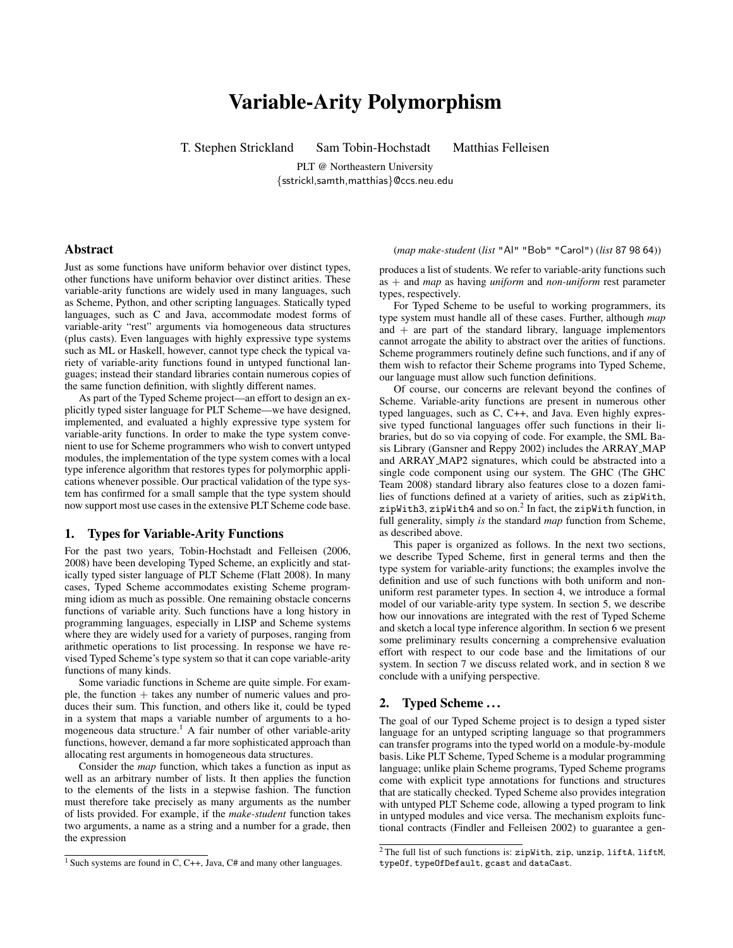# Variable-Arity Polymorphism

T. Stephen Strickland Sam Tobin-Hochstadt Matthias Felleisen

PLT @ Northeastern University {sstrickl,samth,matthias}@ccs.neu.edu

# Abstract

Just as some functions have uniform behavior over distinct types, other functions have uniform behavior over distinct arities. These variable-arity functions are widely used in many languages, such as Scheme, Python, and other scripting languages. Statically typed languages, such as C and Java, accommodate modest forms of variable-arity "rest" arguments via homogeneous data structures (plus casts). Even languages with highly expressive type systems such as ML or Haskell, however, cannot type check the typical variety of variable-arity functions found in untyped functional languages; instead their standard libraries contain numerous copies of the same function definition, with slightly different names.

As part of the Typed Scheme project—an effort to design an explicitly typed sister language for PLT Scheme—we have designed, implemented, and evaluated a highly expressive type system for variable-arity functions. In order to make the type system convenient to use for Scheme programmers who wish to convert untyped modules, the implementation of the type system comes with a local type inference algorithm that restores types for polymorphic applications whenever possible. Our practical validation of the type system has confirmed for a small sample that the type system should now support most use cases in the extensive PLT Scheme code base.

# 1. Types for Variable-Arity Functions

For the past two years, Tobin-Hochstadt and Felleisen (2006, 2008) have been developing Typed Scheme, an explicitly and statically typed sister language of PLT Scheme (Flatt 2008). In many cases, Typed Scheme accommodates existing Scheme programming idiom as much as possible. One remaining obstacle concerns functions of variable arity. Such functions have a long history in programming languages, especially in LISP and Scheme systems where they are widely used for a variety of purposes, ranging from arithmetic operations to list processing. In response we have revised Typed Scheme's type system so that it can cope variable-arity functions of many kinds.

Some variadic functions in Scheme are quite simple. For example, the function  $+$  takes any number of numeric values and produces their sum. This function, and others like it, could be typed in a system that maps a variable number of arguments to a homogeneous data structure.<sup>1</sup> A fair number of other variable-arity functions, however, demand a far more sophisticated approach than allocating rest arguments in homogeneous data structures.

Consider the *map* function, which takes a function as input as well as an arbitrary number of lists. It then applies the function to the elements of the lists in a stepwise fashion. The function must therefore take precisely as many arguments as the number of lists provided. For example, if the *make-student* function takes two arguments, a name as a string and a number for a grade, then the expression

(*map make-student* (*list* "Al" "Bob" "Carol") (*list* 87 98 64))

produces a list of students. We refer to variable-arity functions such as + and *map* as having *uniform* and *non-uniform* rest parameter types, respectively.

For Typed Scheme to be useful to working programmers, its type system must handle all of these cases. Further, although *map* and  $+$  are part of the standard library, language implementors cannot arrogate the ability to abstract over the arities of functions. Scheme programmers routinely define such functions, and if any of them wish to refactor their Scheme programs into Typed Scheme, our language must allow such function definitions.

Of course, our concerns are relevant beyond the confines of Scheme. Variable-arity functions are present in numerous other typed languages, such as C, C++, and Java. Even highly expressive typed functional languages offer such functions in their libraries, but do so via copying of code. For example, the SML Basis Library (Gansner and Reppy 2002) includes the ARRAY MAP and ARRAY MAP2 signatures, which could be abstracted into a single code component using our system. The GHC (The GHC Team 2008) standard library also features close to a dozen families of functions defined at a variety of arities, such as zipWith, zipWith3, zipWith4 and so on. $^2$  In fact, the zipWith function, in full generality, simply *is* the standard *map* function from Scheme, as described above.

This paper is organized as follows. In the next two sections, we describe Typed Scheme, first in general terms and then the type system for variable-arity functions; the examples involve the definition and use of such functions with both uniform and nonuniform rest parameter types. In section 4, we introduce a formal model of our variable-arity type system. In section 5, we describe how our innovations are integrated with the rest of Typed Scheme and sketch a local type inference algorithm. In section 6 we present some preliminary results concerning a comprehensive evaluation effort with respect to our code base and the limitations of our system. In section 7 we discuss related work, and in section 8 we conclude with a unifying perspective.

# 2. Typed Scheme...

The goal of our Typed Scheme project is to design a typed sister language for an untyped scripting language so that programmers can transfer programs into the typed world on a module-by-module basis. Like PLT Scheme, Typed Scheme is a modular programming language; unlike plain Scheme programs, Typed Scheme programs come with explicit type annotations for functions and structures that are statically checked. Typed Scheme also provides integration with untyped PLT Scheme code, allowing a typed program to link in untyped modules and vice versa. The mechanism exploits functional contracts (Findler and Felleisen 2002) to guarantee a gen-

<sup>1</sup> Such systems are found in C, C++, Java, C# and many other languages.

 $2$ The full list of such functions is: zipWith, zip, unzip, liftA, liftM, typeOf, typeOfDefault, gcast and dataCast.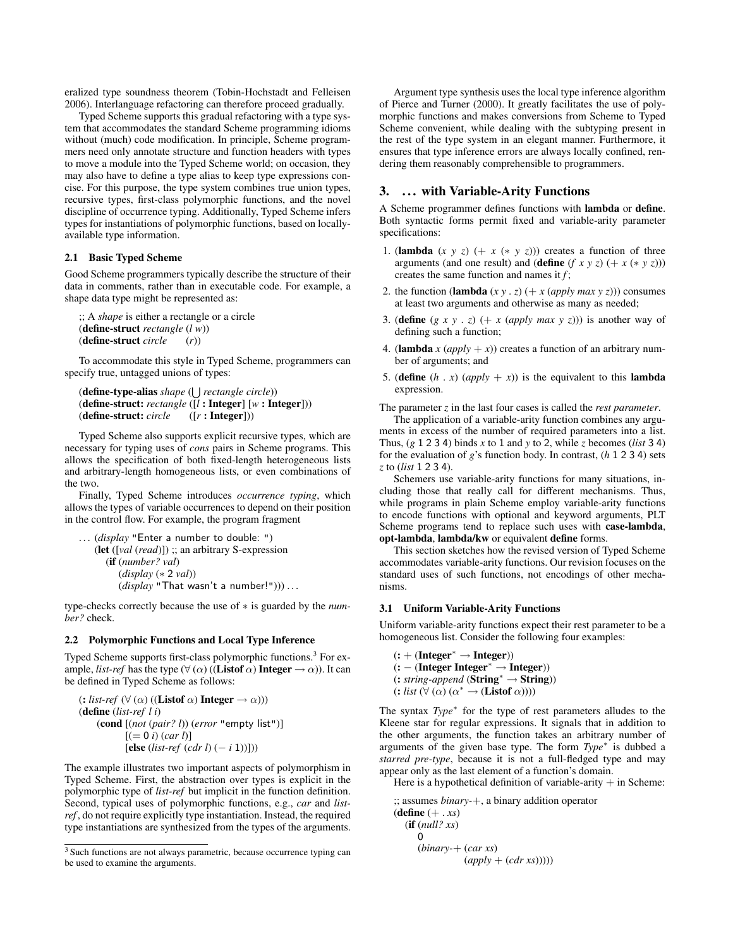eralized type soundness theorem (Tobin-Hochstadt and Felleisen 2006). Interlanguage refactoring can therefore proceed gradually.

Typed Scheme supports this gradual refactoring with a type system that accommodates the standard Scheme programming idioms without (much) code modification. In principle, Scheme programmers need only annotate structure and function headers with types to move a module into the Typed Scheme world; on occasion, they may also have to define a type alias to keep type expressions concise. For this purpose, the type system combines true union types, recursive types, first-class polymorphic functions, and the novel discipline of occurrence typing. Additionally, Typed Scheme infers types for instantiations of polymorphic functions, based on locallyavailable type information.

## 2.1 Basic Typed Scheme

Good Scheme programmers typically describe the structure of their data in comments, rather than in executable code. For example, a shape data type might be represented as:

```
;; A shape is either a rectangle or a circle
(define-struct rectangle (l w))
(define-struct circle (r))
```
To accommodate this style in Typed Scheme, programmers can specify true, untagged unions of types:

```
(define-type-alias shape (
S
rectangle circle))
(define-struct: rectangle ([l : Integer] [w : Integer]))
(define-struct: circle ([r : Integer]))
```
Typed Scheme also supports explicit recursive types, which are necessary for typing uses of *cons* pairs in Scheme programs. This allows the specification of both fixed-length heterogeneous lists and arbitrary-length homogeneous lists, or even combinations of the two.

Finally, Typed Scheme introduces *occurrence typing*, which allows the types of variable occurrences to depend on their position in the control flow. For example, the program fragment

```
. . . (display "Enter a number to double: ")
   (let ([val (read)]) ;; an arbitrary S-expression
      (if (number? val)
         (display (∗ 2 val))
         (display "That wasn't a number!"))) ...
```
type-checks correctly because the use of ∗ is guarded by the *number?* check.

#### 2.2 Polymorphic Functions and Local Type Inference

Typed Scheme supports first-class polymorphic functions.<sup>3</sup> For example, *list-ref* has the type  $(\forall (\alpha) ((Listof \alpha) Integer \rightarrow \alpha))$ . It can be defined in Typed Scheme as follows:

```
(: list-ref (\forall (\alpha) ((Listof \alpha) Integer \rightarrow \alpha)))(define (list-ref l i)
     (cond [(not (pair? l)) (error "empty list")]
             [ (= 0 i) (car l)][else (list-ref (cdr l) (− i 1))]))
```
The example illustrates two important aspects of polymorphism in Typed Scheme. First, the abstraction over types is explicit in the polymorphic type of *list-ref* but implicit in the function definition. Second, typical uses of polymorphic functions, e.g., *car* and *listref* , do not require explicitly type instantiation. Instead, the required type instantiations are synthesized from the types of the arguments.

Argument type synthesis uses the local type inference algorithm of Pierce and Turner (2000). It greatly facilitates the use of polymorphic functions and makes conversions from Scheme to Typed Scheme convenient, while dealing with the subtyping present in the rest of the type system in an elegant manner. Furthermore, it ensures that type inference errors are always locally confined, rendering them reasonably comprehensible to programmers.

# 3. ... with Variable-Arity Functions

A Scheme programmer defines functions with lambda or define. Both syntactic forms permit fixed and variable-arity parameter specifications:

- 1. (**lambda**  $(x \ y \ z)$   $(+ x (* y \ z))$ ) creates a function of three arguments (and one result) and (**define**  $(f \times y \times z)$  (+  $x$  (\*  $y \times z$ ))) creates the same function and names it *f* ;
- 2. the function (lambda  $(x y . z)$   $(+ x (apply max y z))$ ) consumes at least two arguments and otherwise as many as needed;
- 3. (**define**  $(g \ x \ y \ . \ z)$   $(+ x \ (apply \ max \ y \ z))$ ) is another way of defining such a function;
- 4. (**lambda** *x* (*apply* + *x*)) creates a function of an arbitrary number of arguments; and
- 5. (**define**  $(h \cdot x)$  (*apply* + *x*)) is the equivalent to this **lambda** expression.

The parameter *z* in the last four cases is called the *rest parameter*.

The application of a variable-arity function combines any arguments in excess of the number of required parameters into a list. Thus,  $(g 1 2 3 4)$  binds  $x$  to 1 and  $y$  to 2, while  $z$  becomes (*list* 3 4) for the evaluation of *g*'s function body. In contrast, (*h* 1 2 3 4) sets *z* to (*list* 1 2 3 4).

Schemers use variable-arity functions for many situations, including those that really call for different mechanisms. Thus, while programs in plain Scheme employ variable-arity functions to encode functions with optional and keyword arguments, PLT Scheme programs tend to replace such uses with case-lambda, opt-lambda, lambda/kw or equivalent define forms.

This section sketches how the revised version of Typed Scheme accommodates variable-arity functions. Our revision focuses on the standard uses of such functions, not encodings of other mechanisms.

#### 3.1 Uniform Variable-Arity Functions

Uniform variable-arity functions expect their rest parameter to be a homogeneous list. Consider the following four examples:

 $(:+ (Integer^* \rightarrow Integer))$  $(:$  – (Integer Integer<sup>\*</sup>  $\rightarrow$  Integer)) (: *string-append* (String<sup>∗</sup> → String))  $(:$  *list*  $(\forall (\alpha) (\alpha^* \rightarrow (Listof \alpha))))$ 

The syntax *Type*<sup>∗</sup> for the type of rest parameters alludes to the Kleene star for regular expressions. It signals that in addition to the other arguments, the function takes an arbitrary number of arguments of the given base type. The form *Type*<sup>∗</sup> is dubbed a *starred pre-type*, because it is not a full-fledged type and may appear only as the last element of a function's domain.

Here is a hypothetical definition of variable-arity  $+$  in Scheme:

```
;; assumes binary-+, a binary addition operator
(define (+ . xs))
  (if (null? xs)
     0
     (binary-+ (car xs)
                (apply + (cdr xs))))
```
<sup>&</sup>lt;sup>3</sup> Such functions are not always parametric, because occurrence typing can be used to examine the arguments.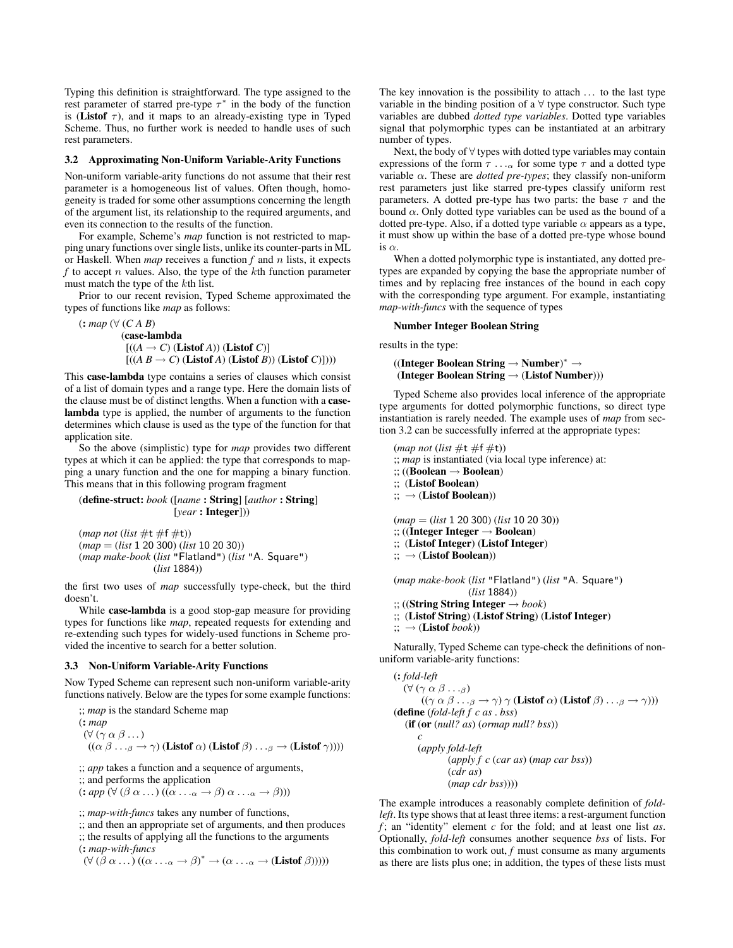Typing this definition is straightforward. The type assigned to the rest parameter of starred pre-type  $\tau^*$  in the body of the function is (Listof  $\tau$ ), and it maps to an already-existing type in Typed Scheme. Thus, no further work is needed to handle uses of such rest parameters.

#### 3.2 Approximating Non-Uniform Variable-Arity Functions

Non-uniform variable-arity functions do not assume that their rest parameter is a homogeneous list of values. Often though, homogeneity is traded for some other assumptions concerning the length of the argument list, its relationship to the required arguments, and even its connection to the results of the function.

For example, Scheme's *map* function is not restricted to mapping unary functions over single lists, unlike its counter-parts in ML or Haskell. When *map* receives a function *f* and n lists, it expects  $f$  to accept  $n$  values. Also, the type of the  $k$ th function parameter must match the type of the kth list.

Prior to our recent revision, Typed Scheme approximated the types of functions like *map* as follows:

```
(: map (∀ (C A B)
```

```
(case-lambda
 [( (A \rightarrow C) (Listof A)) (Listof C)]
 [((A \ B \rightarrow C) (Listof A) (Listof B)) (Listof C)])))
```
This case-lambda type contains a series of clauses which consist of a list of domain types and a range type. Here the domain lists of the clause must be of distinct lengths. When a function with a caselambda type is applied, the number of arguments to the function determines which clause is used as the type of the function for that application site.

So the above (simplistic) type for *map* provides two different types at which it can be applied: the type that corresponds to mapping a unary function and the one for mapping a binary function. This means that in this following program fragment

(define-struct: *book* ([*name* : String] [*author* : String] [*year* : Integer]))

 $(map not (list #t #f #t))$ (*map* = (*list* 1 20 300) (*list* 10 20 30)) (*map make-book* (*list* "Flatland") (*list* "A. Square") (*list* 1884))

the first two uses of *map* successfully type-check, but the third doesn't.

While case-lambda is a good stop-gap measure for providing types for functions like *map*, repeated requests for extending and re-extending such types for widely-used functions in Scheme provided the incentive to search for a better solution.

#### 3.3 Non-Uniform Variable-Arity Functions

Now Typed Scheme can represent such non-uniform variable-arity functions natively. Below are the types for some example functions:

;; *map* is the standard Scheme map (: *map*  $(\forall (\gamma \alpha \beta ...)$  $((\alpha \beta \ldots_{\beta} \rightarrow \gamma)$  (Listof  $\alpha)$  (Listof  $\beta) \ldots_{\beta} \rightarrow$  (Listof  $\gamma$ ))))

;; *app* takes a function and a sequence of arguments,

;; and performs the application

 $(:app (\forall (\beta \alpha ...)(\alpha ... \alpha \rightarrow \beta) \alpha ... \alpha \rightarrow \beta)))$ 

;; *map-with-funcs* takes any number of functions,

;; and then an appropriate set of arguments, and then produces

;; the results of applying all the functions to the arguments (: *map-with-funcs*

 $(\forall (\beta \alpha \dots)(\alpha \dots \alpha \rightarrow \beta)^* \rightarrow (\alpha \dots \alpha \rightarrow (Listof \beta))))$ 

The key innovation is the possibility to attach . . . to the last type variable in the binding position of a  $\forall$  type constructor. Such type variables are dubbed *dotted type variables*. Dotted type variables signal that polymorphic types can be instantiated at an arbitrary number of types.

Next, the body of ∀ types with dotted type variables may contain expressions of the form  $\tau \dots$  for some type  $\tau$  and a dotted type variable  $\alpha$ . These are *dotted pre-types*; they classify non-uniform rest parameters just like starred pre-types classify uniform rest parameters. A dotted pre-type has two parts: the base  $\tau$  and the bound  $\alpha$ . Only dotted type variables can be used as the bound of a dotted pre-type. Also, if a dotted type variable  $\alpha$  appears as a type, it must show up within the base of a dotted pre-type whose bound is  $\alpha$ .

When a dotted polymorphic type is instantiated, any dotted pretypes are expanded by copying the base the appropriate number of times and by replacing free instances of the bound in each copy with the corresponding type argument. For example, instantiating *map-with-funcs* with the sequence of types

#### Number Integer Boolean String

results in the type:

 $((Inter Brolean String \rightarrow Number)^* \rightarrow$ (Integer Boolean String  $\rightarrow$  (Listof Number)))

Typed Scheme also provides local inference of the appropriate type arguments for dotted polymorphic functions, so direct type instantiation is rarely needed. The example uses of *map* from section 3.2 can be successfully inferred at the appropriate types:

 $(map not (list #t #f #t))$ ;; *map* is instantiated (via local type inference) at: ;; ((Boolean → Boolean) ;; (Listof Boolean)  $\ldots \rightarrow$  (Listof Boolean)) (*map* = (*list* 1 20 300) (*list* 10 20 30)) ;; ((Integer Integer  $\rightarrow$  Boolean) ;; (Listof Integer) (Listof Integer)  $\ldots \rightarrow$  (Listof Boolean)) (*map make-book* (*list* "Flatland") (*list* "A. Square")

(*list* 1884))

;; ((String String Integer → *book*)

;; (Listof String) (Listof String) (Listof Integer)

 $\cdots \rightarrow$  (**Listof** *book*))

Naturally, Typed Scheme can type-check the definitions of nonuniform variable-arity functions:

```
(: fold-left
   (\forall (\gamma \alpha \beta \ldots_{\beta})((\gamma \alpha \beta \ldots_{\beta} \rightarrow \gamma) \gamma (Listof \alpha) (Listof \beta) . . .\beta \rightarrow \gamma)))
(define (fold-left f c as . bss)
    (if (or (null? as) (ormap null? bss))
        c
        (apply fold-left
                  (apply f c (car as) (map car bss))
                  (cdr as)
                  (map cdr bss))))
```
The example introduces a reasonably complete definition of *foldleft*. Its type shows that at least three items: a rest-argument function *f* ; an "identity" element *c* for the fold; and at least one list *as*. Optionally, *fold-left* consumes another sequence *bss* of lists. For this combination to work out,  $f$  must consume as many arguments as there are lists plus one; in addition, the types of these lists must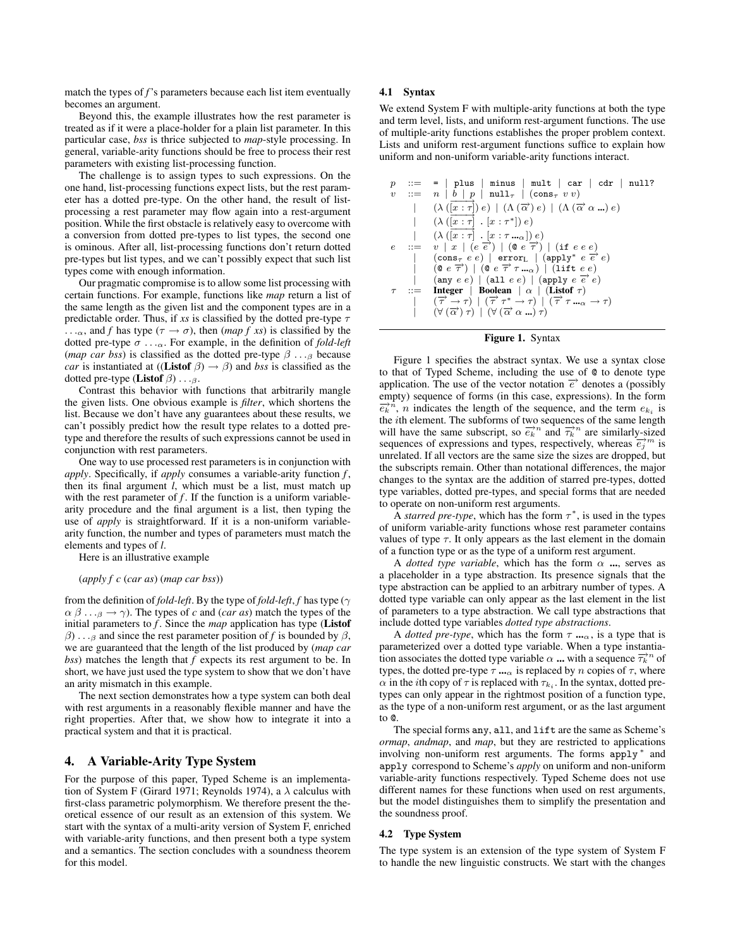match the types of *f*'s parameters because each list item eventually becomes an argument.

Beyond this, the example illustrates how the rest parameter is treated as if it were a place-holder for a plain list parameter. In this particular case, *bss* is thrice subjected to *map*-style processing. In general, variable-arity functions should be free to process their rest parameters with existing list-processing function.

The challenge is to assign types to such expressions. On the one hand, list-processing functions expect lists, but the rest parameter has a dotted pre-type. On the other hand, the result of listprocessing a rest parameter may flow again into a rest-argument position. While the first obstacle is relatively easy to overcome with a conversion from dotted pre-types to list types, the second one is ominous. After all, list-processing functions don't return dotted pre-types but list types, and we can't possibly expect that such list types come with enough information.

Our pragmatic compromise is to allow some list processing with certain functions. For example, functions like *map* return a list of the same length as the given list and the component types are in a predictable order. Thus, if *xs* is classified by the dotted pre-type  $\tau$ ... $\alpha$ , and *f* has type ( $\tau \rightarrow \sigma$ ), then (*map f xs*) is classified by the dotted pre-type  $\sigma \dots_{\alpha}$ . For example, in the definition of *fold-left* (*map car bss*) is classified as the dotted pre-type  $\beta \dots \beta$  because *car* is instantiated at ((Listof  $\beta$ )  $\rightarrow \beta$ ) and *bss* is classified as the dotted pre-type (Listof  $\beta$ ) . . . $\beta$ .

Contrast this behavior with functions that arbitrarily mangle the given lists. One obvious example is *filter*, which shortens the list. Because we don't have any guarantees about these results, we can't possibly predict how the result type relates to a dotted pretype and therefore the results of such expressions cannot be used in conjunction with rest parameters.

One way to use processed rest parameters is in conjunction with *apply*. Specifically, if *apply* consumes a variable-arity function *f* , then its final argument *l*, which must be a list, must match up with the rest parameter of  $f$ . If the function is a uniform variablearity procedure and the final argument is a list, then typing the use of *apply* is straightforward. If it is a non-uniform variablearity function, the number and types of parameters must match the elements and types of *l*.

Here is an illustrative example

(*apply f c* (*car as*) (*map car bss*))

from the definition of *fold-left*. By the type of *fold-left*, *f* has type ( $\gamma$  $\alpha \beta \ldots \beta \rightarrow \gamma$ ). The types of *c* and (*car as*) match the types of the initial parameters to *f* . Since the *map* application has type (Listof  $\beta$ ) . . .<sub>β</sub> and since the rest parameter position of *f* is bounded by  $\beta$ , we are guaranteed that the length of the list produced by (*map car bss*) matches the length that *f* expects its rest argument to be. In short, we have just used the type system to show that we don't have an arity mismatch in this example.

The next section demonstrates how a type system can both deal with rest arguments in a reasonably flexible manner and have the right properties. After that, we show how to integrate it into a practical system and that it is practical.

# 4. A Variable-Arity Type System

For the purpose of this paper, Typed Scheme is an implementation of System F (Girard 1971; Reynolds 1974), a  $\lambda$  calculus with first-class parametric polymorphism. We therefore present the theoretical essence of our result as an extension of this system. We start with the syntax of a multi-arity version of System F, enriched with variable-arity functions, and then present both a type system and a semantics. The section concludes with a soundness theorem for this model.

## 4.1 Syntax

We extend System F with multiple-arity functions at both the type and term level, lists, and uniform rest-argument functions. The use of multiple-arity functions establishes the proper problem context. Lists and uniform rest-argument functions suffice to explain how uniform and non-uniform variable-arity functions interact.

p ::= = | plus | minus | mult | car | cdr | null? v ::= n | b | p | null<sup>τ</sup> | (cons<sup>τ</sup> v v) | (λ ( −−−→ [<sup>x</sup> : <sup>τ</sup>]) <sup>e</sup>) <sup>|</sup> (Λ (−→<sup>α</sup> ) <sup>e</sup>) <sup>|</sup> (Λ (−→α α ...) <sup>e</sup>) | (λ ( −−−→ [<sup>x</sup> : <sup>τ</sup>] . [<sup>x</sup> : <sup>τ</sup> <sup>∗</sup>]) e) | (λ ( −−−→ [<sup>x</sup> : <sup>τ</sup>] . [<sup>x</sup> : <sup>τ</sup> ...<sup>α</sup> ]) <sup>e</sup>) e ::= v | x | (e −→<sup>e</sup> ) <sup>|</sup> (@ <sup>e</sup> −→<sup>τ</sup> ) <sup>|</sup> (if e e e) | (cons<sup>τ</sup> e e) | error<sup>L</sup> | (apply<sup>∗</sup> e −→e e) | (@ e −→<sup>τ</sup> ) <sup>|</sup> (@ <sup>e</sup> −→τ τ ...<sup>α</sup> ) <sup>|</sup> (lift e e) | (any e e) | (all e e) | (apply e −→e e) τ ::= Integer | Boolean | α | (Listof τ) | ( −→<sup>τ</sup> <sup>→</sup> <sup>τ</sup>) <sup>|</sup> ( −→τ τ<sup>∗</sup> <sup>→</sup> <sup>τ</sup>) <sup>|</sup> ( −→τ τ ...<sup>α</sup> <sup>→</sup> <sup>τ</sup>) | (∀ ( −→<sup>α</sup> ) <sup>τ</sup>) <sup>|</sup> (<sup>∀</sup> ( −→α α ...) <sup>τ</sup>)



Figure 1 specifies the abstract syntax. We use a syntax close to that of Typed Scheme, including the use of @ to denote type application. The use of the vector notation  $\overrightarrow{e}$  denotes a (possibly empty) sequence of forms (in this case, expressions). In the form  $\overrightarrow{e_k}$ <sup>n</sup>, *n* indicates the length of the sequence, and the term  $e_{k_i}$  is the ith element. The subforms of two sequences of the same length will have the same subscript, so  $\overrightarrow{e_k}^n$  and  $\overrightarrow{\tau_k}^n$  are similarly-sized sequences of expressions and types, respectively, whereas  $\vec{e}_j^m$  is unrelated. If all vectors are the same size the sizes are dropped, but the subscripts remain. Other than notational differences, the major changes to the syntax are the addition of starred pre-types, dotted type variables, dotted pre-types, and special forms that are needed to operate on non-uniform rest arguments.

A *starred pre-type*, which has the form  $\tau^*$ , is used in the types of uniform variable-arity functions whose rest parameter contains values of type  $\tau$ . It only appears as the last element in the domain of a function type or as the type of a uniform rest argument.

A *dotted type variable*, which has the form  $\alpha$  ..., serves as a placeholder in a type abstraction. Its presence signals that the type abstraction can be applied to an arbitrary number of types. A dotted type variable can only appear as the last element in the list of parameters to a type abstraction. We call type abstractions that include dotted type variables *dotted type abstractions*.

A *dotted pre-type*, which has the form  $\tau$  ..., is a type that is parameterized over a dotted type variable. When a type instantiation associates the dotted type variable  $\alpha$  ... with a sequence  $\overrightarrow{\tau_k}^n$  of types, the dotted pre-type  $\tau \cdot \cdot \cdot \cdot$  is replaced by n copies of  $\tau$ , where  $\alpha$  in the *i*th copy of  $\tau$  is replaced with  $\tau_{k_i}$ . In the syntax, dotted pretypes can only appear in the rightmost position of a function type, as the type of a non-uniform rest argument, or as the last argument to @.

The special forms any, all, and lift are the same as Scheme's *ormap*, *andmap*, and *map*, but they are restricted to applications involving non-uniform rest arguments. The forms apply<sup>\*</sup> and apply correspond to Scheme's *apply* on uniform and non-uniform variable-arity functions respectively. Typed Scheme does not use different names for these functions when used on rest arguments, but the model distinguishes them to simplify the presentation and the soundness proof.

#### 4.2 Type System

The type system is an extension of the type system of System F to handle the new linguistic constructs. We start with the changes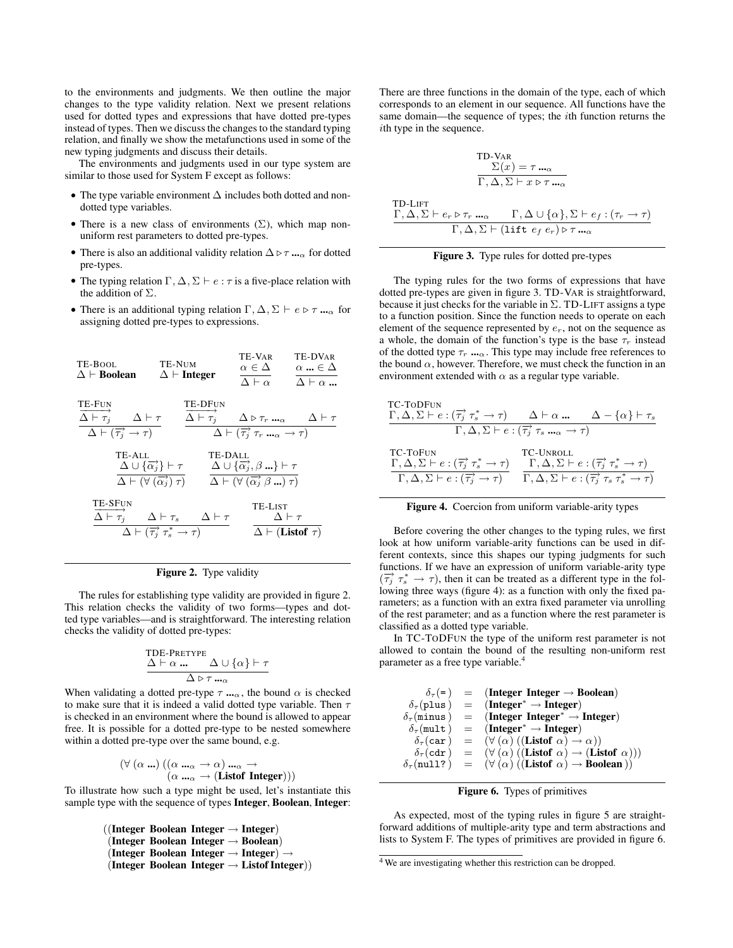to the environments and judgments. We then outline the major changes to the type validity relation. Next we present relations used for dotted types and expressions that have dotted pre-types instead of types. Then we discuss the changes to the standard typing relation, and finally we show the metafunctions used in some of the new typing judgments and discuss their details.

The environments and judgments used in our type system are similar to those used for System F except as follows:

- The type variable environment ∆ includes both dotted and nondotted type variables.
- There is a new class of environments  $(\Sigma)$ , which map nonuniform rest parameters to dotted pre-types.
- There is also an additional validity relation  $\Delta \triangleright \tau ...$  for dotted pre-types.
- The typing relation  $\Gamma, \Delta, \Sigma \vdash e : \tau$  is a five-place relation with the addition of  $\Sigma$ .
- There is an additional typing relation  $\Gamma, \Delta, \Sigma \vdash e \triangleright \tau \dots \varpi$  for assigning dotted pre-types to expressions.



# Figure 2. Type validity

The rules for establishing type validity are provided in figure 2. This relation checks the validity of two forms—types and dotted type variables—and is straightforward. The interesting relation checks the validity of dotted pre-types:

$$
\frac{\Delta \vdash \alpha \dots \Delta \cup \{\alpha\} \vdash \tau}{\Delta \triangleright \tau \dots \alpha}
$$

When validating a dotted pre-type  $\tau$  ..., the bound  $\alpha$  is checked to make sure that it is indeed a valid dotted type variable. Then  $\tau$ is checked in an environment where the bound is allowed to appear free. It is possible for a dotted pre-type to be nested somewhere within a dotted pre-type over the same bound, e.g.

$$
(\forall (\alpha \dots) ((\alpha \dots \alpha \rightarrow \alpha) \dots \alpha \rightarrow (\alpha \dots \alpha \rightarrow (\text{Listof Integer})))
$$

To illustrate how such a type might be used, let's instantiate this sample type with the sequence of types Integer, Boolean, Integer:

```
((Integer Boolean Integer \rightarrow Integer)
 (Integer Boolean Integer \rightarrow Boolean)
 (Integer Boolean Integer \rightarrow Integer) \rightarrow(Integer Boolean Integer \rightarrow Listof Integer))
```
There are three functions in the domain of the type, each of which corresponds to an element in our sequence. All functions have the same domain—the sequence of types; the ith function returns the ith type in the sequence.

$$
\frac{\sum(x) = \tau \dots \alpha}{\Gamma, \Delta, \Sigma \vdash x \triangleright \tau \dots \alpha}
$$

$$
\frac{\Gamma, \Delta, \Sigma \vdash e_r \triangleright \tau_r \dots \alpha}{\Gamma, \Delta, \Sigma \vdash (\text{lift } e_f \cdot e_r) \triangleright \tau \dots \alpha}
$$

 $T<sub>1</sub>$ 

## Figure 3. Type rules for dotted pre-types

The typing rules for the two forms of expressions that have dotted pre-types are given in figure 3. TD-VAR is straightforward, because it just checks for the variable in  $\Sigma$ . TD-LIFT assigns a type to a function position. Since the function needs to operate on each element of the sequence represented by  $e_r$ , not on the sequence as a whole, the domain of the function's type is the base  $\tau_r$  instead of the dotted type  $\tau_r$  ....<sub> $\alpha$ </sub>. This type may include free references to the bound  $\alpha$ , however. Therefore, we must check the function in an environment extended with  $\alpha$  as a regular type variable.

| <b>TC-TODFUN</b><br>$\Gamma, \Delta, \Sigma \vdash e : (\overrightarrow{\tau_i} \tau_s^* \rightarrow \tau) \qquad \Delta \vdash \alpha \dots \qquad \Delta - \{\alpha\} \vdash \tau_s$                                                                                                           |           |                                                                                         |  |  |  |
|--------------------------------------------------------------------------------------------------------------------------------------------------------------------------------------------------------------------------------------------------------------------------------------------------|-----------|-----------------------------------------------------------------------------------------|--|--|--|
| $\Gamma, \Delta, \Sigma \vdash e : (\overrightarrow{\tau_i} \tau_s \ldots \alpha \rightarrow \tau)$                                                                                                                                                                                              |           |                                                                                         |  |  |  |
| <b>TC-TOFUN</b><br>$\Gamma, \Delta, \Sigma \vdash e : (\overrightarrow{\tau_i} \tau_s^* \rightarrow \tau)$<br>$\Gamma, \Delta, \Sigma \vdash e : (\overrightarrow{\tau_i} \rightarrow \tau) \qquad \Gamma, \Delta, \Sigma \vdash e : (\overrightarrow{\tau_i} \tau_s \tau_s^* \rightarrow \tau)$ | TC-UNROLL | $\Gamma, \Delta, \Sigma \vdash e : (\overrightarrow{\tau_i} \tau_s^* \rightarrow \tau)$ |  |  |  |



Before covering the other changes to the typing rules, we first look at how uniform variable-arity functions can be used in different contexts, since this shapes our typing judgments for such functions. If we have an expression of uniform variable-arity type  $(\overline{\tau_j} \tau_s^* \rightarrow \tau)$ , then it can be treated as a different type in the following three ways (figure 4): as a function with only the fixed parameters; as a function with an extra fixed parameter via unrolling of the rest parameter; and as a function where the rest parameter is classified as a dotted type variable.

In TC-TODFUN the type of the uniform rest parameter is not allowed to contain the bound of the resulting non-uniform rest parameter as a free type variable.<sup>4</sup>

| $\delta_\tau$ (=)             | $=$ (Integer Integer $\rightarrow$ Boolean)                                                            |
|-------------------------------|--------------------------------------------------------------------------------------------------------|
| $\delta_\tau$ (plus)          | $=$ (Integer <sup>*</sup> $\rightarrow$ Integer)                                                       |
| $\delta_{\tau}$ (minus)       | $=$ (Integer Integer <sup>*</sup> $\rightarrow$ Integer)                                               |
| $\delta_{\tau}$ (mult)        | $=$ (Integer <sup>*</sup> $\rightarrow$ Integer)                                                       |
| $\delta_\tau(\mathtt{car})$   | $= (\forall (\alpha) ((Listof \alpha) \rightarrow \alpha))$                                            |
| $\delta_{\tau}(\texttt{cdr})$ | $= (\forall (\alpha) ((Listof \alpha) \rightarrow (Listof \alpha)))$                                   |
|                               | $\delta_{\tau}(\text{null?}) = (\forall (\alpha) ((\text{Listof }\alpha) \rightarrow \text{Boolean}))$ |
|                               |                                                                                                        |

# Figure 6. Types of primitives

As expected, most of the typing rules in figure 5 are straightforward additions of multiple-arity type and term abstractions and lists to System F. The types of primitives are provided in figure 6.

<sup>4</sup> We are investigating whether this restriction can be dropped.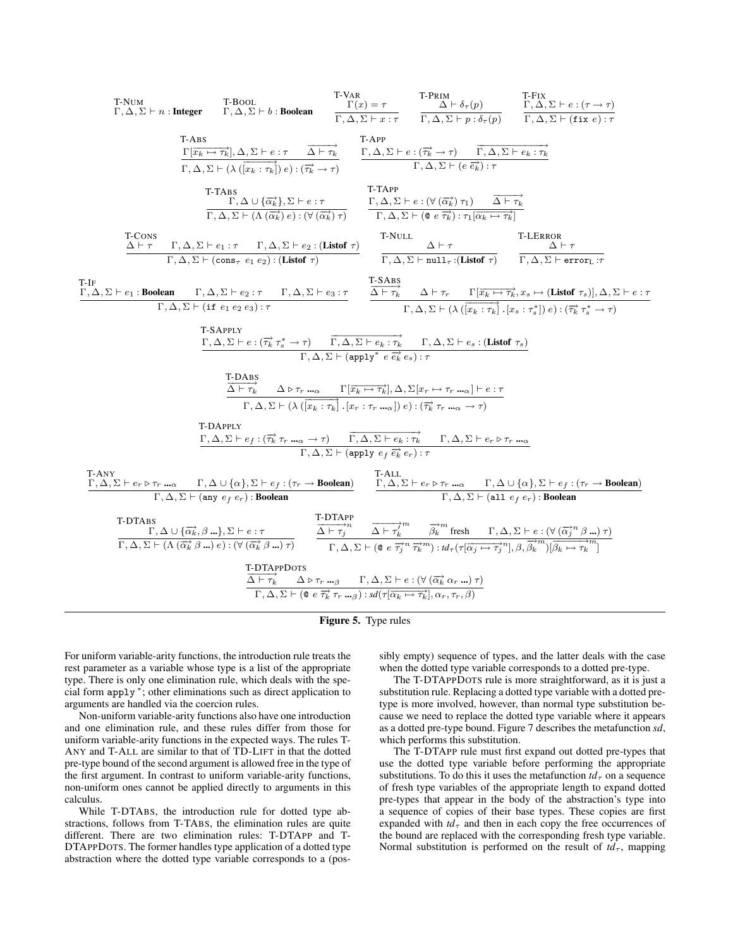

Figure 5. Type rules

For uniform variable-arity functions, the introduction rule treats the rest parameter as a variable whose type is a list of the appropriate type. There is only one elimination rule, which deals with the special form apply <sup>∗</sup> ; other eliminations such as direct application to arguments are handled via the coercion rules.

Non-uniform variable-arity functions also have one introduction and one elimination rule, and these rules differ from those for uniform variable-arity functions in the expected ways. The rules T-ANY and T-ALL are similar to that of TD-LIFT in that the dotted pre-type bound of the second argument is allowed free in the type of the first argument. In contrast to uniform variable-arity functions, non-uniform ones cannot be applied directly to arguments in this calculus.

While T-DTABS, the introduction rule for dotted type abstractions, follows from T-TABS, the elimination rules are quite different. There are two elimination rules: T-DTAPP and T-DTAPPDOTS. The former handles type application of a dotted type abstraction where the dotted type variable corresponds to a (possibly empty) sequence of types, and the latter deals with the case when the dotted type variable corresponds to a dotted pre-type.

The T-DTAPPDOTS rule is more straightforward, as it is just a substitution rule. Replacing a dotted type variable with a dotted pretype is more involved, however, than normal type substitution because we need to replace the dotted type variable where it appears as a dotted pre-type bound. Figure 7 describes the metafunction *sd*, which performs this substitution.

The T-DTAPP rule must first expand out dotted pre-types that use the dotted type variable before performing the appropriate substitutions. To do this it uses the metafunction  $td_{\tau}$  on a sequence of fresh type variables of the appropriate length to expand dotted pre-types that appear in the body of the abstraction's type into a sequence of copies of their base types. These copies are first expanded with  $td_{\tau}$  and then in each copy the free occurrences of the bound are replaced with the corresponding fresh type variable. Normal substitution is performed on the result of  $td_{\tau}$ , mapping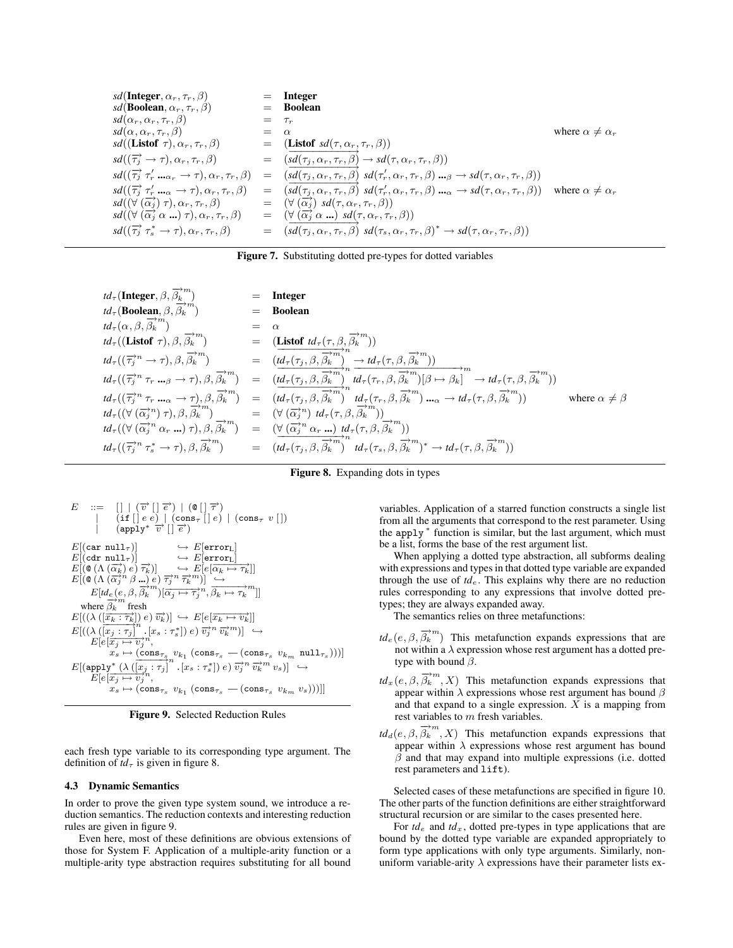$$
sd(\text{Integer}, \alpha_r, \tau_r, \beta) = \text{Integer}
$$
\n
$$
sd(\text{Boolean}, \alpha_r, \tau_r, \beta) = \tau_r
$$
\n
$$
sd(\alpha_r, \alpha_r, \tau_r, \beta) = \tau_r
$$
\n
$$
sd(\alpha, \alpha_r, \tau_r, \beta) = \alpha
$$
\n
$$
sd(\text{Listof } \tau), \alpha_r, \tau_r, \beta) = (\text{Listof } sd(\tau, \alpha_r, \tau_r, \beta))
$$
\n
$$
sd((\overrightarrow{\tau_j} \rightarrow \tau), \alpha_r, \tau_r, \beta) = (\overrightarrow{sd(\tau_j, \alpha_r, \tau_r, \beta)} \rightarrow sd(\tau, \alpha_r, \tau_r, \beta))
$$
\n
$$
sd((\overrightarrow{\tau_j} \tau_r' \dots \tau_r, \tau_r, \beta) = (\overrightarrow{sd(\tau_j, \alpha_r, \tau_r, \beta)} sd(\tau_r', \alpha_r, \tau_r, \beta) \dots \beta - sd(\tau, \alpha_r, \tau_r, \beta))
$$
\n
$$
sd((\overrightarrow{\tau_j} \tau_r' \dots \tau_r, \neg \tau, \alpha_r, \tau_r, \beta) = (\overrightarrow{sd(\tau_j, \alpha_r, \tau_r, \beta)} sd(\tau_r', \alpha_r, \tau_r, \beta) \dots \alpha - sd(\tau, \alpha_r, \tau_r, \beta))
$$
\n
$$
sd((\forall (\overrightarrow{\alpha_j}) \tau), \alpha_r, \tau_r, \beta) = (\forall (\overrightarrow{\alpha_j}) sd(\tau, \alpha_r, \tau_r, \beta))
$$
\n
$$
sd((\forall (\overrightarrow{\alpha_j} \alpha \dots) \tau), \alpha_r, \tau_r, \beta) = (\forall (\overrightarrow{\alpha_j} \alpha \dots) sd(\tau, \alpha_r, \tau_r, \beta)^* \rightarrow sd(\tau, \alpha_r, \tau_r, \beta))
$$
\n
$$
sd((\overrightarrow{\tau_j} \tau_s^* \rightarrow \tau), \alpha_r, \tau_r, \beta) = (\overrightarrow{sd(\tau_j, \alpha_r, \tau_r, \beta)} sd(\tau_s, \alpha_r, \tau_r, \beta)^* \rightarrow sd(\tau, \alpha_r, \tau_r, \beta))
$$

Figure 7. Substituting dotted pre-types for dotted variables

| $td_{\tau}$ (Integer, $\beta, \overrightarrow{\beta_k}^m$ )                                                        | Integer                                                                                                                                                                                                                                                                                                                                                                                                                                                                                                                                                                                        |
|--------------------------------------------------------------------------------------------------------------------|------------------------------------------------------------------------------------------------------------------------------------------------------------------------------------------------------------------------------------------------------------------------------------------------------------------------------------------------------------------------------------------------------------------------------------------------------------------------------------------------------------------------------------------------------------------------------------------------|
| $td_{\tau}$ (Boolean, $\beta, \overrightarrow{\beta_k}^m$ )                                                        | <b>Boolean</b>                                                                                                                                                                                                                                                                                                                                                                                                                                                                                                                                                                                 |
| $td_\tau(\alpha,\beta,\overrightarrow{\beta_k}^m)$                                                                 |                                                                                                                                                                                                                                                                                                                                                                                                                                                                                                                                                                                                |
| $td_\tau((\textbf{Listof} \ \tau),\beta,\overrightarrow{\beta_k}^m)$                                               | = (Listof $td_{\tau}(\tau,\beta,\overrightarrow{\beta_k}^m)$ )                                                                                                                                                                                                                                                                                                                                                                                                                                                                                                                                 |
| $td_{\tau}((\overrightarrow{\tau_i}^n \rightarrow \tau), \beta, \overrightarrow{\beta_k}^m)$                       | $=$ $(\overline{td_{\tau}(\tau_j,\beta,\beta_k}^{m})^n) \rightarrow td_{\tau}(\tau,\beta,\overline{\beta_k}^{m})$                                                                                                                                                                                                                                                                                                                                                                                                                                                                              |
| $td_{\tau}((\overrightarrow{\tau_j}^n \tau_r \ldots_{\beta} \rightarrow \tau), \beta, \overrightarrow{\beta_k}^m)$ | $= (td_{\tau}(\tau_j,\beta,\overrightarrow{\beta_k}^m) \cdot ^mtd_{\tau}(\tau_r,\beta,\overrightarrow{\beta_k}^m)[\beta \mapsto \beta_k] \rightarrow td_{\tau}(\tau,\beta,\overrightarrow{\beta_k}^m))$                                                                                                                                                                                                                                                                                                                                                                                        |
|                                                                                                                    | $\begin{array}{lllll}td_{\tau}((\overrightarrow{\tau_j}^n\; \tau_r\; {\bf m}_\alpha \rightarrow \tau), \beta, \overrightarrow{\beta_k}^m) & = & \widetilde{(td_{\tau}(\tau_j, \beta, \overrightarrow{\beta_k}^m))}^{n} \;td_{\tau}(\tau_r, \beta, \overrightarrow{\beta_k}^m) \;{\bf m}_\alpha \rightarrow td_{\tau}(\tau, \beta, \overrightarrow{\beta_k}^m))\\td_{\tau}((\forall \;(\overrightarrow{\alpha_j}^n) \;\tau), \beta, \overrightarrow{\beta_k}^m) & = & (\forall \;(\overrightarrow{\alpha_j}^n) \;td_{\tau}(\tau, \beta, \overrightarrow{\beta_k}^$<br>where $\alpha \neq \beta$ |
|                                                                                                                    |                                                                                                                                                                                                                                                                                                                                                                                                                                                                                                                                                                                                |
| $td_{\tau}((\forall (\overrightarrow{\alpha_j}^n \alpha_r \dots) \tau), \beta, \overrightarrow{\beta_k}^m)$        | = $(\forall (\overrightarrow{\alpha_j}^n \alpha_r \dots) \forall d_{\tau}(\tau, \beta, \beta_k \dots))$                                                                                                                                                                                                                                                                                                                                                                                                                                                                                        |
|                                                                                                                    | $td_{\tau}((\overrightarrow{\tau_i}^n \tau_s^* \to \tau), \beta, \overrightarrow{\beta_k}^m)$ = $(td_{\tau}(\tau_i, \beta, \overrightarrow{\beta_k}^m))^n$ $td_{\tau}(\tau_s, \beta, \overrightarrow{\beta_k}^m)^* \to td_{\tau}(\tau, \beta, \overrightarrow{\beta_k}^m))$                                                                                                                                                                                                                                                                                                                    |

Figure 8. Expanding dots in types

$$
E \begin{array}{l} \mbox{::=} & [| \mid (\overrightarrow{v} \mid \overrightarrow{e}) \mid (\mathbf{0} \mid \overrightarrow{\tau}) \\ & [\mbox{if } [] e e) \mid (\mbox{cons}_\tau \; [] e) \mid (\mbox{cons}_\tau \; v \; []) \\ & (\mbox{apply*} \; \overrightarrow{v} \; [[\overrightarrow{e}) \; ] \\ E[(\mbox{car null}_\tau)] & \hookrightarrow E[\mbox{error}_L] \\ E[(\mbox{car null}_\tau)] & \hookrightarrow E[e \overrightarrow{\alpha_k} \rightarrow \overrightarrow{\tau_k}]] \\ E[(\mathbf{0} \; (\Lambda \; (\overrightarrow{\alpha_k}) \; e) \; \overrightarrow{\tau_k})] & \hookrightarrow E[e \overrightarrow{\alpha_k} \rightarrow \overrightarrow{\tau_k}]] \\ E[(\mathbf{0} \; (\Lambda \; (\overrightarrow{\alpha_j}^n \; \beta \; \underline{\ldots}) \; e) \; \overrightarrow{\tau_j}^n \; \overrightarrow{\tau_k}^m)] \xrightarrow{\hookrightarrow} \\ E[id_e (e, \beta, \overrightarrow{\beta_k}^m) [\overrightarrow{\alpha_j} \rightarrow \overrightarrow{\tau_j}^n, \overrightarrow{\beta_k} \rightarrow \overrightarrow{\tau_k}^m]] \\ \mbox{where} \; \overrightarrow{\beta_k} \; \mbox{ fresh} \\ E[(\lambda \; ([\overrightarrow{x_k} : \overrightarrow{\tau_k}]) \; e) \; \overrightarrow{v_k})] \hookrightarrow E[e \left[\overrightarrow{x_k} \rightarrow v_k^1 \right]] \\ E[(\lambda \; ([\overrightarrow{x_j} : \tau_j] \quad . [x_s : \tau_s^*]) \; e) \; \overrightarrow{v_j}^n \; \overrightarrow{v_k}^m)] \xrightarrow{\hookrightarrow} \\ E[e \left[\overrightarrow{x_j} \rightarrow \overrightarrow{v_j}^n, \quad x_s \mapsto (\mbox{cons}_{\tau_s} \; v_{k_1} \; (\mbox{cons}_{\tau_s} \; - (\mbox{cons}_{\tau_s} \; v_{k_m} \; \mbox{null}_{\tau_s})))]] \\ E[(\mbox{app1y*} \; (\lambda \; ([\overrightarrow{x_j} : \tau_j]^n, [x_s : \tau_s^*]) \; e) \; \overrightarrow{v_j}^n \; \overrightarrow{v_k}^m \; v_s)] \xrightarrow{\hookrightarrow} \\ E[e \left[\overrightarrow{x_j} \mapsto v_j^n, \quad x_s \mapsto (\mbox{cons}_{\tau_s} \; v_{k_1} \; (\mbox{cons}_{\tau_s} \; - (\mbox{
$$

Figure 9. Selected Reduction Rules

each fresh type variable to its corresponding type argument. The definition of  $td_{\tau}$  is given in figure 8.

#### 4.3 Dynamic Semantics

In order to prove the given type system sound, we introduce a reduction semantics. The reduction contexts and interesting reduction rules are given in figure 9.

Even here, most of these definitions are obvious extensions of those for System F. Application of a multiple-arity function or a multiple-arity type abstraction requires substituting for all bound

variables. Application of a starred function constructs a single list from all the arguments that correspond to the rest parameter. Using the apply <sup>∗</sup> function is similar, but the last argument, which must be a list, forms the base of the rest argument list.

When applying a dotted type abstraction, all subforms dealing with expressions and types in that dotted type variable are expanded through the use of  $td_e$ . This explains why there are no reduction rules corresponding to any expressions that involve dotted pretypes; they are always expanded away.

The semantics relies on three metafunctions:

- $td_e(e, \beta, \overrightarrow{\beta_k}^m)$  This metafunction expands expressions that are not within  $a \lambda$  expression whose rest argument has a dotted pretype with bound  $\beta$ .
- $td_x(e, \beta, \overrightarrow{\beta_k}^m, X)$  This metafunction expands expressions that appear within  $\lambda$  expressions whose rest argument has bound  $\beta$ and that expand to a single expression.  $\overline{X}$  is a mapping from rest variables to m fresh variables.
- $td_d(e, \beta, \overrightarrow{\beta_k}^m, X)$  This metafunction expands expressions that appear within  $\lambda$  expressions whose rest argument has bound  $\beta$  and that may expand into multiple expressions (i.e. dotted rest parameters and lift).

Selected cases of these metafunctions are specified in figure 10. The other parts of the function definitions are either straightforward structural recursion or are similar to the cases presented here.

For  $td_e$  and  $td_x$ , dotted pre-types in type applications that are bound by the dotted type variable are expanded appropriately to form type applications with only type arguments. Similarly, nonuniform variable-arity  $\lambda$  expressions have their parameter lists ex-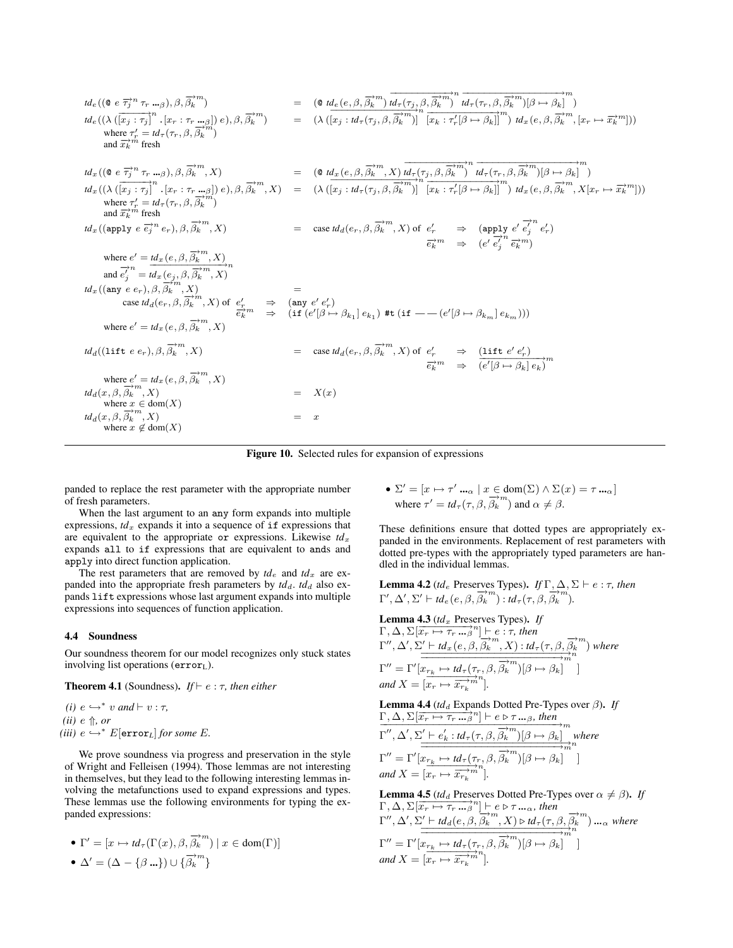| $td_e((\mathbf{0} \ e \ \overrightarrow{\tau_i}^n \ \tau_r \ \ldots_{\beta}), \beta, \overrightarrow{\beta_k}^m)$<br>$td_e((\lambda (\overrightarrow{[x_j : \tau_j]}^n \cdot [x_r : \tau_r \cdot \cdot \cdot \cdot \beta]) e), \beta, \overrightarrow{\beta_k}^m)$<br>where $\tau'_r = td_\tau(\tau_r, \beta, \overline{\beta_k}^m)$<br>and $\overrightarrow{x_k}^m$ fresh | $=$ $(\mathbf{\mathfrak{g}} t d_e(e, \beta, \overrightarrow{\beta_k}^m) t d_{\tau}(\tau_j, \beta, \overrightarrow{\beta_k}^m) t d_{\tau}(\tau_r, \beta, \overrightarrow{\beta_k}^m) [\beta \mapsto \beta_k]^m$<br>$= (\lambda (\overline{x_i : id_{\tau}(\tau_i, \beta, \overrightarrow{\beta_k}^m)})^n \overline{\overline{x_k : \tau'_r(\beta \mapsto \beta_k)}}^m) \overline{t_d}_x(e, \beta, \overrightarrow{\beta_k}^m, [x_r \mapsto \overrightarrow{x_k}^m]))$ |
|----------------------------------------------------------------------------------------------------------------------------------------------------------------------------------------------------------------------------------------------------------------------------------------------------------------------------------------------------------------------------|----------------------------------------------------------------------------------------------------------------------------------------------------------------------------------------------------------------------------------------------------------------------------------------------------------------------------------------------------------------------------------------------------------------------------------------------------------------------|
| $td_x((\mathbf{0} \ e \ \overrightarrow{\tau_i}^n \ \tau_r \ \ldots_{\beta}), \beta, \overrightarrow{\beta_k}^m, X)$                                                                                                                                                                                                                                                       | $=$ $(\mathbf{0} \ t d_x(e, \beta, \overrightarrow{\beta_k}^m, X) \ t d_{\tau}(\tau_j, \beta, \overrightarrow{\beta_k}^m)$ <sup>n</sup> $d_{\tau}(\tau_r, \beta, \overrightarrow{\beta_k}^m)[\beta \mapsto \beta_k]^m$                                                                                                                                                                                                                                               |
| $td_x((\lambda\left(\overrightarrow{[x_j:\tau_j]}^n,[x_r:\tau_r\text{  }_\beta]\right)e),\beta,\overrightarrow{\beta_k}^m,X)$<br>where $\tau'_r = td_\tau(\tau_r, \beta, \overline{\beta_k}^m)$<br>and $\overrightarrow{x_k}^m$ fresh                                                                                                                                      | $= (\lambda \left( \overrightarrow{[x_i : id_{\tau}(\tau_i, \beta, \overrightarrow{\beta_k}^m)]} \mathbb{E}_{x_k : \tau'_k[\beta \mapsto \beta_k]} \mathbb{E}_{x_k}(\epsilon, \beta, \overrightarrow{\beta_k}^m, X   x_r \mapsto \overrightarrow{x_k}^m] \right))$                                                                                                                                                                                                   |
| $td_x((\text{apply } e \overrightarrow{e_i}^n e_r), \beta, \overrightarrow{\beta_k}^m, X)$                                                                                                                                                                                                                                                                                 | = case $td_d(e_r, \beta, \overrightarrow{\beta_k}^m, X)$ of $e'_r \Rightarrow$ $(\text{apply } e' \overrightarrow{e'_j}^n e'_j e'_r)$<br>$\overrightarrow{e_k}^m \Rightarrow (e' \overrightarrow{e'_j}^n \overrightarrow{e_k}^m)$                                                                                                                                                                                                                                    |
| where $e' = \frac{td_x(e, \beta, \overrightarrow{\beta_k}^m, X)}{\text{and } \overrightarrow{e'_j}^n} = \frac{td_x(e, \beta, \overrightarrow{\beta_k}^m, X)}{\text{and } \overrightarrow{e'_j}^n}$                                                                                                                                                                         |                                                                                                                                                                                                                                                                                                                                                                                                                                                                      |
|                                                                                                                                                                                                                                                                                                                                                                            | $\begin{array}{lll} \displaystyle \operatorname{Id}_x((\operatorname{any} \ e \ e_r),\beta,\overline{\beta_k^{\times m}},X) & = \\ & \operatorname{case} \operatorname{Id}_d(e_r,\beta,\overline{\beta_k^{\times m}},X) \text{ of } \ e_r' & \Rightarrow & (\operatorname{any} \ e' \ e'_r) \\ & & \vdots & \\ & & \vdots & \\ \end{array}$                                                                                                                          |
| $td_d((\text{lift }e_{r}), \beta, \overrightarrow{\beta_k}^{m}, X)$                                                                                                                                                                                                                                                                                                        | = case $td_d(e_r, \beta, \overrightarrow{\beta_k}^m, X)$ of $e'_r$ $\Rightarrow$ $\frac{(\text{lift } e' e'_r)}{e'_k m}$ $\Rightarrow$ $\frac{(\text{lift } e' e'_r)}{(e' \beta \mapsto \beta_k  e_k)}$                                                                                                                                                                                                                                                              |
| where $e' = td_x(e, \beta, \overrightarrow{\beta_k}^m, X)$<br>$td_d(x, \beta, \overrightarrow{\beta_k}^m, X)$<br>where $x \in \text{dom}(X)$<br>$td_d(x, \beta, \overrightarrow{\beta_k}^m, X)$<br>where $x \notin \text{dom}(X)$                                                                                                                                          | X(x)<br>x                                                                                                                                                                                                                                                                                                                                                                                                                                                            |

Figure 10. Selected rules for expansion of expressions

panded to replace the rest parameter with the appropriate number of fresh parameters.

When the last argument to an any form expands into multiple expressions,  $td_x$  expands it into a sequence of if expressions that are equivalent to the appropriate or expressions. Likewise  $td_x$ expands all to if expressions that are equivalent to ands and apply into direct function application.

The rest parameters that are removed by  $td_e$  and  $td_x$  are expanded into the appropriate fresh parameters by  $td_d$ .  $td_d$  also expands lift expressions whose last argument expands into multiple expressions into sequences of function application.

#### 4.4 Soundness

Our soundness theorem for our model recognizes only stuck states involving list operations (error<sub>L</sub>).

# **Theorem 4.1** (Soundness). *If*  $\vdash$  *e* :  $\tau$ *, then either*

*(i)*  $e$  ↔ \* *v and*  $\vdash$  *v* : *τ*,  $(ii)$  e  $\Uparrow$ *, or (iii)*  $e$  ↔  $*$   $E[error<sub>L</sub>]$  *for some*  $E$ *.* 

We prove soundness via progress and preservation in the style of Wright and Felleisen (1994). Those lemmas are not interesting in themselves, but they lead to the following interesting lemmas involving the metafunctions used to expand expressions and types. These lemmas use the following environments for typing the expanded expressions:

$$
\bullet\ \Gamma'=[x\mapsto td_{\tau}(\Gamma(x),\beta,\overrightarrow{\beta_k}^m)\mid x\in\text{dom}(\Gamma)]
$$

• 
$$
\Delta' = (\Delta - \{\beta \dots\}) \cup \{\overrightarrow{\beta_k}^m\}
$$

• Σ <sup>0</sup> = [x 7→ τ 0 ...<sup>α</sup> | x ∈ dom(Σ) ∧ Σ(x) = τ ...<sup>α</sup> ] where  $\tau' = td_{\tau}(\tau, \beta, \overrightarrow{\beta_k}^m)$  and  $\alpha \neq \beta$ .

These definitions ensure that dotted types are appropriately expanded in the environments. Replacement of rest parameters with dotted pre-types with the appropriately typed parameters are handled in the individual lemmas.

**Lemma 4.2** (*td*<sub>e</sub> Preserves Types). *If*  $\Gamma, \Delta, \Sigma \vdash e : \tau$ , *then*  $\Gamma', \Delta', \Sigma' \vdash t d_e (e, \beta, \overrightarrow{\beta_k}^m) : t d_{\tau}(\tau, \beta, \overrightarrow{\beta_k}^m).$ 

**Lemma 4.3** 
$$
(td_x
$$
 Preserves Types). If  
\n $\Gamma, \Delta, \Sigma[\overline{x_r \mapsto \tau_r \dots \beta}^n] \vdash e : \tau$ , then  
\n $\Gamma'', \Delta', \Sigma' \vdash td_x(e, \beta, \overrightarrow{\beta_k}^m, X) : td_\tau(\tau, \beta, \overrightarrow{\beta_k}^m)$  where  
\n $\Gamma'' = \Gamma'[x_{r_k} \mapsto td_\tau(\tau_r, \beta, \overrightarrow{\beta_k}^m) [\beta \mapsto \beta_k]]$   
\nand  $X = [x_r \mapsto \overrightarrow{x_{r_k}}^m]$ .

Lemma 4.4 (*td*<sub>d</sub> Expands Dotted Pre-Types over β). *If*  $\Gamma, \Delta, \Sigma[\overline{x_r \mapsto \tau_r \dots \beta}^n] \vdash e \triangleright \tau \dots \beta, then\n\Gamma', \Delta', \Sigma' \vdash e'_k : td_\tau(\tau, \beta, \overline{\beta_k}^m) [\beta \mapsto \beta_k]$ 

$$
\Gamma'', \Delta', \Sigma' \vdash e'_k : td_\tau(\tau, \beta, \overrightarrow{\beta_k}^m)[\beta \mapsto \beta_k] \text{ where }
$$
  
\n
$$
\Gamma'' = \Gamma'[x_{r_k} \mapsto td_\tau(\tau_r, \beta, \overrightarrow{\beta_k}^m)[\beta \mapsto \beta_k] \text{ } ]
$$
  
\nand 
$$
X = [x_r \mapsto \overrightarrow{x_{r_k}}^m].
$$

**Lemma 4.5**  $(id_d$  Preserves Dotted Pre-Types over  $\alpha \neq \beta$ ). *If*<br>  $\Gamma, \Delta, \Sigma[\overline{x_r \mapsto \tau_r \dots \beta}^n] \vdash e \triangleright \tau \dots \alpha, then$ <br>  $\Gamma'', \Delta', \Sigma' \vdash td_d(e, \beta, \overline{\beta_k}^m, X) \triangleright td_\tau(\tau, \beta, \overline{\beta_k}^m) \dots \alpha$  where

$$
\Gamma'', \Delta', \Sigma' \vdash tda(e, \beta, \beta_k^{m}, X) \triangleright td_{\tau}(\tau, \beta, \beta_k^{m}) \dots_{\alpha} \text{ where}
$$
  
\n
$$
\Gamma'' = \Gamma'[x_{r_k} \mapsto td_{\tau}(\tau_r, \beta, \overrightarrow{\beta_k}^{m})[\beta \mapsto \beta_k]^{m}
$$
  
\nand 
$$
X = [x_r \mapsto \overrightarrow{x_{r_k}}^{m}]
$$
.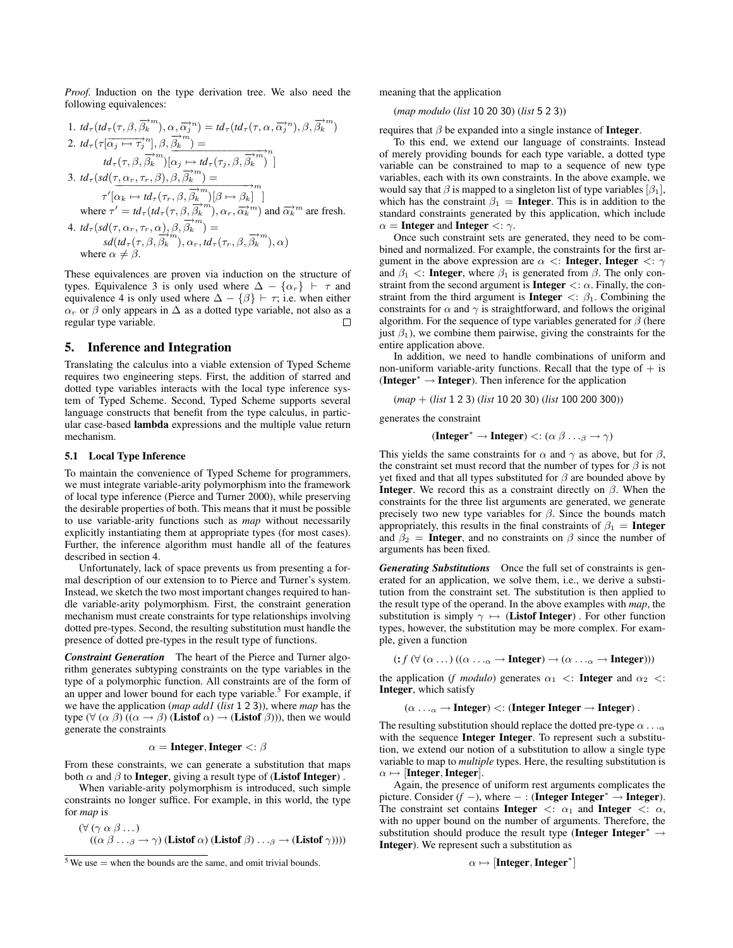*Proof.* Induction on the type derivation tree. We also need the following equivalences:

1. 
$$
td_{\tau}(td_{\tau}(\tau,\beta,\overrightarrow{\beta_k}^m),\alpha,\overrightarrow{\alpha_j}^n) = td_{\tau}(td_{\tau}(\tau,\alpha,\overrightarrow{\alpha_j}^n),\beta,\overrightarrow{\beta_k}^m)
$$
  
\n2.  $td_{\tau}(\tau[\overrightarrow{\alpha_j} \mapsto \tau_j^m],\beta,\overrightarrow{\beta_k}^m) =$   
\n $td_{\tau}(\tau,\beta,\overrightarrow{\beta_k}^m)[\alpha_j \mapsto td_{\tau}(\tau_j,\beta,\overrightarrow{\beta_k}^n)]$   
\n3.  $td_{\tau}(sd(\tau,\alpha_r,\tau_r,\beta),\beta,\overrightarrow{\beta_k}^n) =$   
\n $\tau'[\alpha_k \mapsto td_{\tau}(\tau_r,\beta,\overrightarrow{\beta_k}^m)[\beta \mapsto \beta_k]]$   
\nwhere  $\tau' = td_{\tau}(td_{\tau}(\tau,\beta,\overrightarrow{\beta_k}^m),\alpha_r,\overrightarrow{\alpha_k}^m)$  and  $\overrightarrow{\alpha_k}^m$  are fresh.  
\n4.  $td_{\tau}(sd(\tau,\alpha_r,\tau_r,\alpha),\beta,\overrightarrow{\beta_k}^m) =$   
\n $sd(id_{\tau}(\tau,\beta,\overrightarrow{\beta_k}^m),\alpha_r,td_{\tau}(\tau_r,\beta,\overrightarrow{\beta_k}^m),\alpha)$   
\nwhere  $\alpha \neq \beta$ .

These equivalences are proven via induction on the structure of types. Equivalence 3 is only used where  $\Delta - \{\alpha_r\}$   $\vdash \tau$  and equivalence 4 is only used where  $\Delta - {\beta}$   $\vdash \tau$ ; i.e. when either  $\alpha_r$  or  $\beta$  only appears in  $\Delta$  as a dotted type variable, not also as a regular type variable.

# 5. Inference and Integration

Translating the calculus into a viable extension of Typed Scheme requires two engineering steps. First, the addition of starred and dotted type variables interacts with the local type inference system of Typed Scheme. Second, Typed Scheme supports several language constructs that benefit from the type calculus, in particular case-based lambda expressions and the multiple value return mechanism.

#### 5.1 Local Type Inference

To maintain the convenience of Typed Scheme for programmers, we must integrate variable-arity polymorphism into the framework of local type inference (Pierce and Turner 2000), while preserving the desirable properties of both. This means that it must be possible to use variable-arity functions such as *map* without necessarily explicitly instantiating them at appropriate types (for most cases). Further, the inference algorithm must handle all of the features described in section 4.

Unfortunately, lack of space prevents us from presenting a formal description of our extension to to Pierce and Turner's system. Instead, we sketch the two most important changes required to handle variable-arity polymorphism. First, the constraint generation mechanism must create constraints for type relationships involving dotted pre-types. Second, the resulting substitution must handle the presence of dotted pre-types in the result type of functions.

*Constraint Generation* The heart of the Pierce and Turner algorithm generates subtyping constraints on the type variables in the type of a polymorphic function. All constraints are of the form of an upper and lower bound for each type variable.<sup>5</sup> For example, if we have the application (*map add1* (*list* 1 2 3)), where *map* has the type ( $\forall (\alpha \beta) ((\alpha \rightarrow \beta)$  (Listof  $\alpha) \rightarrow$  (Listof  $\beta$ ))), then we would generate the constraints

#### $\alpha$  = Integer, Integer  $\langle \cdot, \beta \rangle$

From these constraints, we can generate a substitution that maps both  $\alpha$  and  $\beta$  to **Integer**, giving a result type of (**Listof Integer**).

When variable-arity polymorphism is introduced, such simple constraints no longer suffice. For example, in this world, the type for *map* is

$$
(\forall (\gamma \alpha \beta ...)
$$
  

$$
((\alpha \beta ... \beta \rightarrow \gamma) (\text{Listof } \alpha) (\text{Listof } \beta) ... \beta \rightarrow (\text{Listof } \gamma))))
$$

meaning that the application

(*map modulo* (*list* 10 20 30) (*list* 5 2 3))

requires that  $\beta$  be expanded into a single instance of **Integer.** 

To this end, we extend our language of constraints. Instead of merely providing bounds for each type variable, a dotted type variable can be constrained to map to a sequence of new type variables, each with its own constraints. In the above example, we would say that  $\beta$  is mapped to a singleton list of type variables  $[\beta_1]$ , which has the constraint  $\beta_1$  = **Integer**. This is in addition to the standard constraints generated by this application, which include  $\alpha =$  Integer and Integer  $\langle \cdot, \cdot \rangle$ .

Once such constraint sets are generated, they need to be combined and normalized. For example, the constraints for the first argument in the above expression are  $\alpha <$ : Integer, Integer  $\langle \cdot, \cdot \rangle$ and  $\beta_1$  <: **Integer**, where  $\beta_1$  is generated from  $\beta$ . The only constraint from the second argument is **Integer**  $\lt: \alpha$ . Finally, the constraint from the third argument is **Integer**  $\lt: \beta_1$ . Combining the constraints for  $\alpha$  and  $\gamma$  is straightforward, and follows the original algorithm. For the sequence of type variables generated for  $\beta$  (here just  $\beta_1$ ), we combine them pairwise, giving the constraints for the entire application above.

In addition, we need to handle combinations of uniform and non-uniform variable-arity functions. Recall that the type of  $+$  is (Integer<sup>\*</sup>  $\rightarrow$  Integer). Then inference for the application

$$
(map + (list 1 2 3) (list 10 20 30) (list 100 200 300))
$$

generates the constraint

$$
(\text{Integer}^* \to \text{Integer}) \lt: (\alpha \beta \dots \beta \to \gamma)
$$

This yields the same constraints for  $\alpha$  and  $\gamma$  as above, but for  $\beta$ , the constraint set must record that the number of types for  $\beta$  is not yet fixed and that all types substituted for  $\beta$  are bounded above by **Integer.** We record this as a constraint directly on  $\beta$ . When the constraints for the three list arguments are generated, we generate precisely two new type variables for  $\beta$ . Since the bounds match appropriately, this results in the final constraints of  $\beta_1$  = Integer and  $\beta_2$  = **Integer**, and no constraints on  $\beta$  since the number of arguments has been fixed.

*Generating Substitutions* Once the full set of constraints is generated for an application, we solve them, i.e., we derive a substitution from the constraint set. The substitution is then applied to the result type of the operand. In the above examples with *map*, the substitution is simply  $\gamma \mapsto$  (**Listof Integer**). For other function types, however, the substitution may be more complex. For example, given a function

 $(f \lor (\alpha \dots) ((\alpha \dots \alpha \rightarrow \text{Integer}) \rightarrow (\alpha \dots \alpha \rightarrow \text{Integer})))$ 

the application (*f modulo*) generates  $\alpha_1$  <: **Integer** and  $\alpha_2$  <: Integer, which satisfy

 $(\alpha \dots \alpha \rightarrow$  Integer)  $\lt$ : (Integer Integer  $\rightarrow$  Integer).

The resulting substitution should replace the dotted pre-type  $\alpha \dots \alpha$ with the sequence Integer Integer. To represent such a substitution, we extend our notion of a substitution to allow a single type variable to map to *multiple* types. Here, the resulting substitution is  $\alpha \mapsto [Integer,Integer]$ .

Again, the presence of uniform rest arguments complicates the picture. Consider  $(f -)$ , where  $-$  : (**Integer Integer**<sup>\*</sup>  $\rightarrow$  **Integer**). The constraint set contains Integer  $\langle : \alpha_1 \rangle$  and Integer  $\langle : \alpha, \rangle$ with no upper bound on the number of arguments. Therefore, the substitution should produce the result type (Integer Integer<sup>\*</sup>  $\rightarrow$ Integer). We represent such a substitution as

$$
\alpha \mapsto [Integer, Integer^*
$$

]

 $5$  We use  $=$  when the bounds are the same, and omit trivial bounds.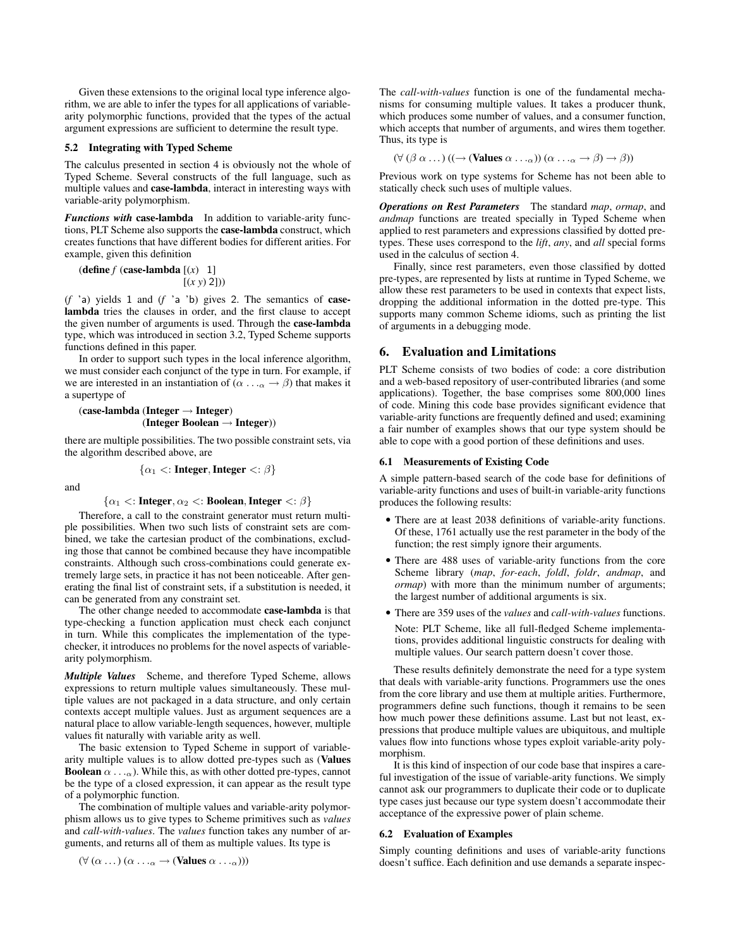Given these extensions to the original local type inference algorithm, we are able to infer the types for all applications of variablearity polymorphic functions, provided that the types of the actual argument expressions are sufficient to determine the result type.

#### 5.2 Integrating with Typed Scheme

The calculus presented in section 4 is obviously not the whole of Typed Scheme. Several constructs of the full language, such as multiple values and case-lambda, interact in interesting ways with variable-arity polymorphism.

*Functions with* case-lambda In addition to variable-arity functions, PLT Scheme also supports the case-lambda construct, which creates functions that have different bodies for different arities. For example, given this definition

$$
(\text{define } f \text{ (case-lambda } [(x) 1])
$$

$$
[(x y) 2]))
$$

(*f* 'a) yields 1 and (*f* 'a 'b) gives 2. The semantics of caselambda tries the clauses in order, and the first clause to accept the given number of arguments is used. Through the case-lambda type, which was introduced in section 3.2, Typed Scheme supports functions defined in this paper.

In order to support such types in the local inference algorithm, we must consider each conjunct of the type in turn. For example, if we are interested in an instantiation of ( $\alpha \dots \alpha \rightarrow \beta$ ) that makes it a supertype of

$$
\begin{array}{c}(\text{case-lambda (Integer} \rightarrow \text{Integer}) \\ (\text{Integer Boolean} \rightarrow \text{Integer}))\end{array}
$$

there are multiple possibilities. The two possible constraint sets, via the algorithm described above, are

 $\{\alpha_1 \leq \text{Integer}, \text{Integer} \leq \beta\}$ 

and

 $\{\alpha_1 \leq i \text{ Integer}, \alpha_2 \leq i \text{ Boolean}, \text{Integer} \leq i \}\$ 

Therefore, a call to the constraint generator must return multiple possibilities. When two such lists of constraint sets are combined, we take the cartesian product of the combinations, excluding those that cannot be combined because they have incompatible constraints. Although such cross-combinations could generate extremely large sets, in practice it has not been noticeable. After generating the final list of constraint sets, if a substitution is needed, it can be generated from any constraint set.

The other change needed to accommodate case-lambda is that type-checking a function application must check each conjunct in turn. While this complicates the implementation of the typechecker, it introduces no problems for the novel aspects of variablearity polymorphism.

*Multiple Values* Scheme, and therefore Typed Scheme, allows expressions to return multiple values simultaneously. These multiple values are not packaged in a data structure, and only certain contexts accept multiple values. Just as argument sequences are a natural place to allow variable-length sequences, however, multiple values fit naturally with variable arity as well.

The basic extension to Typed Scheme in support of variablearity multiple values is to allow dotted pre-types such as (Values **Boolean**  $\alpha \dots \alpha$ ). While this, as with other dotted pre-types, cannot be the type of a closed expression, it can appear as the result type of a polymorphic function.

The combination of multiple values and variable-arity polymorphism allows us to give types to Scheme primitives such as *values* and *call-with-values*. The *values* function takes any number of arguments, and returns all of them as multiple values. Its type is

 $(\forall (\alpha \dots)(\alpha \dots \alpha \rightarrow (\text{Values } \alpha \dots \alpha)))$ 

The *call-with-values* function is one of the fundamental mechanisms for consuming multiple values. It takes a producer thunk, which produces some number of values, and a consumer function, which accepts that number of arguments, and wires them together. Thus, its type is

 $(\forall (\beta \alpha \dots)((\rightarrow (\text{Values } \alpha \dots \alpha))(\alpha \dots \alpha \rightarrow \beta) \rightarrow \beta))$ 

Previous work on type systems for Scheme has not been able to statically check such uses of multiple values.

*Operations on Rest Parameters* The standard *map*, *ormap*, and *andmap* functions are treated specially in Typed Scheme when applied to rest parameters and expressions classified by dotted pretypes. These uses correspond to the *lift*, *any*, and *all* special forms used in the calculus of section 4.

Finally, since rest parameters, even those classified by dotted pre-types, are represented by lists at runtime in Typed Scheme, we allow these rest parameters to be used in contexts that expect lists, dropping the additional information in the dotted pre-type. This supports many common Scheme idioms, such as printing the list of arguments in a debugging mode.

# 6. Evaluation and Limitations

PLT Scheme consists of two bodies of code: a core distribution and a web-based repository of user-contributed libraries (and some applications). Together, the base comprises some 800,000 lines of code. Mining this code base provides significant evidence that variable-arity functions are frequently defined and used; examining a fair number of examples shows that our type system should be able to cope with a good portion of these definitions and uses.

#### 6.1 Measurements of Existing Code

A simple pattern-based search of the code base for definitions of variable-arity functions and uses of built-in variable-arity functions produces the following results:

- There are at least 2038 definitions of variable-arity functions. Of these, 1761 actually use the rest parameter in the body of the function; the rest simply ignore their arguments.
- There are 488 uses of variable-arity functions from the core Scheme library (*map*, *for-each*, *foldl*, *foldr*, *andmap*, and *ormap*) with more than the minimum number of arguments; the largest number of additional arguments is six.
- There are 359 uses of the *values* and *call-with-values* functions. Note: PLT Scheme, like all full-fledged Scheme implementations, provides additional linguistic constructs for dealing with multiple values. Our search pattern doesn't cover those.

These results definitely demonstrate the need for a type system that deals with variable-arity functions. Programmers use the ones from the core library and use them at multiple arities. Furthermore, programmers define such functions, though it remains to be seen how much power these definitions assume. Last but not least, expressions that produce multiple values are ubiquitous, and multiple values flow into functions whose types exploit variable-arity polymorphism.

It is this kind of inspection of our code base that inspires a careful investigation of the issue of variable-arity functions. We simply cannot ask our programmers to duplicate their code or to duplicate type cases just because our type system doesn't accommodate their acceptance of the expressive power of plain scheme.

#### 6.2 Evaluation of Examples

Simply counting definitions and uses of variable-arity functions doesn't suffice. Each definition and use demands a separate inspec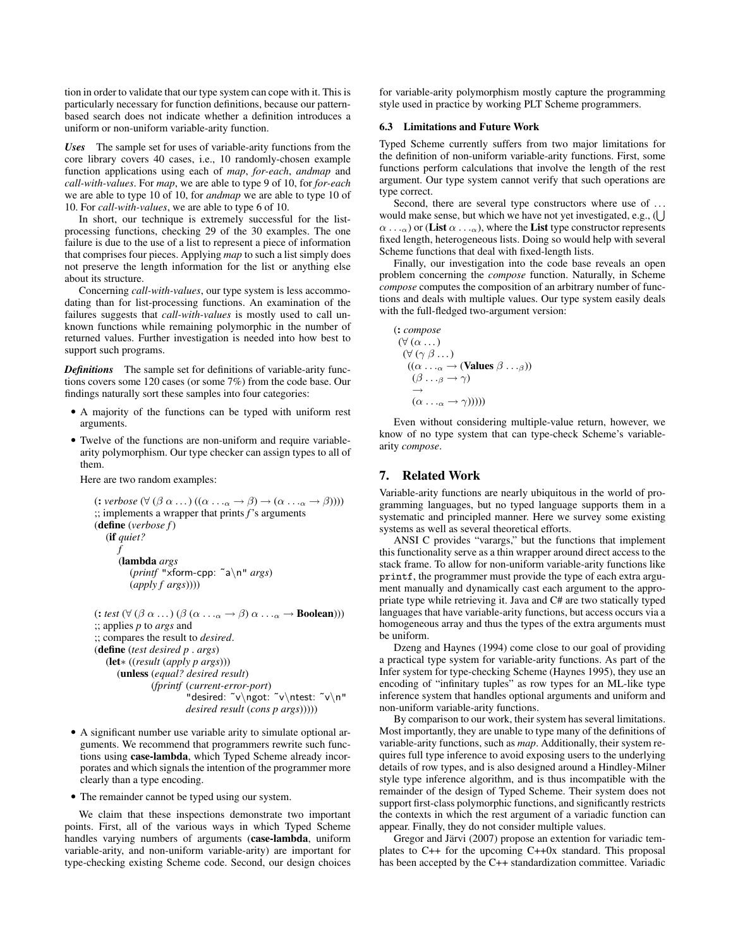tion in order to validate that our type system can cope with it. This is particularly necessary for function definitions, because our patternbased search does not indicate whether a definition introduces a uniform or non-uniform variable-arity function.

*Uses* The sample set for uses of variable-arity functions from the core library covers 40 cases, i.e., 10 randomly-chosen example function applications using each of *map*, *for-each*, *andmap* and *call-with-values*. For *map*, we are able to type 9 of 10, for *for-each* we are able to type 10 of 10, for *andmap* we are able to type 10 of 10. For *call-with-values*, we are able to type 6 of 10.

In short, our technique is extremely successful for the listprocessing functions, checking 29 of the 30 examples. The one failure is due to the use of a list to represent a piece of information that comprises four pieces. Applying *map* to such a list simply does not preserve the length information for the list or anything else about its structure.

Concerning *call-with-values*, our type system is less accommodating than for list-processing functions. An examination of the failures suggests that *call-with-values* is mostly used to call unknown functions while remaining polymorphic in the number of returned values. Further investigation is needed into how best to support such programs.

*Definitions* The sample set for definitions of variable-arity functions covers some 120 cases (or some 7%) from the code base. Our findings naturally sort these samples into four categories:

- A majority of the functions can be typed with uniform rest arguments.
- Twelve of the functions are non-uniform and require variablearity polymorphism. Our type checker can assign types to all of them.

Here are two random examples:

```
(:\text{verbose } (\forall (\beta \alpha \dots)((\alpha \dots \alpha \rightarrow \beta) \rightarrow (\alpha \dots \alpha \rightarrow \beta))));; implements a wrapper that prints f's arguments
(define (verbose f)
   (if quiet?
        f
       (lambda args
           (printf "xform-cpp: ˜a\n" args)
           (apply f args))))
(: test (\forall (\beta \alpha \dots)(\beta (\alpha \dots \alpha \rightarrow \beta) \alpha \dots \alpha \rightarrow \text{Boolean})));; applies p to args and
;; compares the result to desired.
(define (test desired p . args)
   (let∗ ((result (apply p args)))
       (unless (equal? desired result)
                 (fprintf (current-error-port)
                            "desired: ˜v\ngot: ˜v\ntest: ˜v\n"
                            desired result (cons p args)))))
```
- A significant number use variable arity to simulate optional arguments. We recommend that programmers rewrite such functions using case-lambda, which Typed Scheme already incorporates and which signals the intention of the programmer more clearly than a type encoding.
- The remainder cannot be typed using our system.

We claim that these inspections demonstrate two important points. First, all of the various ways in which Typed Scheme handles varying numbers of arguments (case-lambda, uniform variable-arity, and non-uniform variable-arity) are important for type-checking existing Scheme code. Second, our design choices for variable-arity polymorphism mostly capture the programming style used in practice by working PLT Scheme programmers.

#### 6.3 Limitations and Future Work

Typed Scheme currently suffers from two major limitations for the definition of non-uniform variable-arity functions. First, some functions perform calculations that involve the length of the rest argument. Our type system cannot verify that such operations are type correct.

Second, there are several type constructors where use of ... would make sense, but which we have not yet investigated, e.g.,  $( \bigcup$  $(\alpha \dots \alpha)$  or (List  $\alpha \dots \alpha$ ), where the List type constructor represents fixed length, heterogeneous lists. Doing so would help with several Scheme functions that deal with fixed-length lists.

Finally, our investigation into the code base reveals an open problem concerning the *compose* function. Naturally, in Scheme *compose* computes the composition of an arbitrary number of functions and deals with multiple values. Our type system easily deals with the full-fledged two-argument version:

$$
(\mathbf{C} \text{ composer})
$$
  
\n
$$
(\forall (\alpha \dots)
$$
  
\n
$$
(\forall (\gamma \beta \dots)
$$
  
\n
$$
((\alpha \dots \alpha \rightarrow (\text{Values } \beta \dots \beta))
$$
  
\n
$$
(\beta \dots \beta \rightarrow \gamma)
$$
  
\n
$$
\rightarrow
$$
  
\n
$$
(\alpha \dots \alpha \rightarrow \gamma))))
$$

Even without considering multiple-value return, however, we know of no type system that can type-check Scheme's variablearity *compose*.

# 7. Related Work

Variable-arity functions are nearly ubiquitous in the world of programming languages, but no typed language supports them in a systematic and principled manner. Here we survey some existing systems as well as several theoretical efforts.

ANSI C provides "varargs," but the functions that implement this functionality serve as a thin wrapper around direct access to the stack frame. To allow for non-uniform variable-arity functions like printf, the programmer must provide the type of each extra argument manually and dynamically cast each argument to the appropriate type while retrieving it. Java and C# are two statically typed languages that have variable-arity functions, but access occurs via a homogeneous array and thus the types of the extra arguments must be uniform.

Dzeng and Haynes (1994) come close to our goal of providing a practical type system for variable-arity functions. As part of the Infer system for type-checking Scheme (Haynes 1995), they use an encoding of "infinitary tuples" as row types for an ML-like type inference system that handles optional arguments and uniform and non-uniform variable-arity functions.

By comparison to our work, their system has several limitations. Most importantly, they are unable to type many of the definitions of variable-arity functions, such as *map*. Additionally, their system requires full type inference to avoid exposing users to the underlying details of row types, and is also designed around a Hindley-Milner style type inference algorithm, and is thus incompatible with the remainder of the design of Typed Scheme. Their system does not support first-class polymorphic functions, and significantly restricts the contexts in which the rest argument of a variadic function can appear. Finally, they do not consider multiple values.

Gregor and Järvi (2007) propose an extention for variadic templates to C++ for the upcoming C++0x standard. This proposal has been accepted by the C++ standardization committee. Variadic